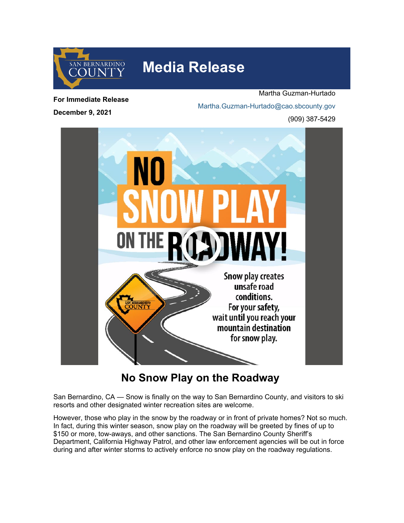

## **Media Release**

**For Immediate Release**

**December 9, 2021**

Martha Guzman-Hurtado [Martha.Guzman-Hurtado@cao.sbcounty.gov](mailto:martha.guzman-hurtado@cao.sbcounty.gov) (909) 387-5429



## **No Snow Play on the Roadway**

San Bernardino, CA — Snow is finally on the way to San Bernardino County, and visitors to ski resorts and other designated winter recreation sites are welcome.

However, those who play in the snow by the roadway or in front of private homes? Not so much. In fact, during this winter season, snow play on the roadway will be greeted by fines of up to \$150 or more, tow-aways, and other sanctions. The San Bernardino County Sheriff's Department, California Highway Patrol, and other law enforcement agencies will be out in force during and after winter storms to actively enforce no snow play on the roadway regulations.